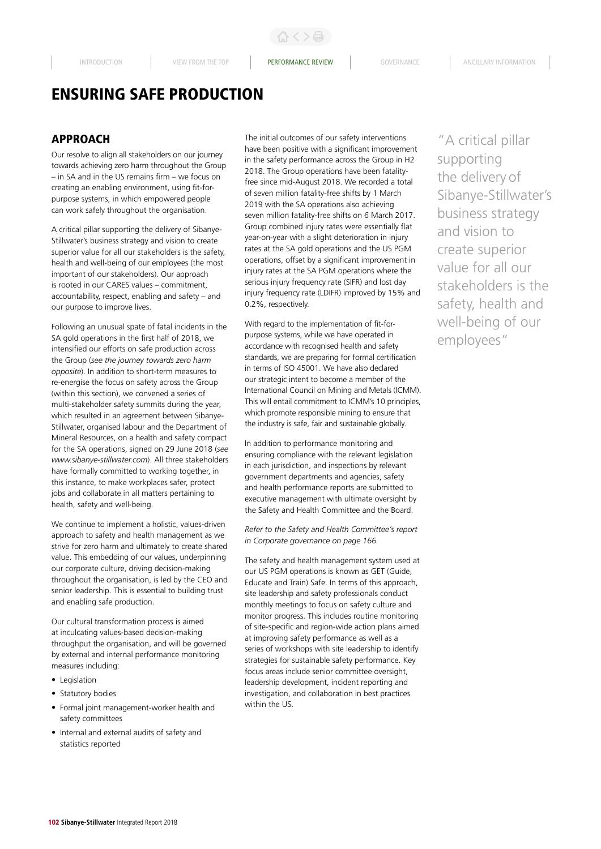ひくと目

# ENSURING SAFE PRODUCTION

# APPROACH

Our resolve to align all stakeholders on our journey towards achieving zero harm throughout the Group – in SA and in the US remains firm – we focus on creating an enabling environment, using fit-forpurpose systems, in which empowered people can work safely throughout the organisation.

A critical pillar supporting the delivery of Sibanye-Stillwater's business strategy and vision to create superior value for all our stakeholders is the safety, health and well-being of our employees (the most important of our stakeholders). Our approach is rooted in our CARES values – commitment, accountability, respect, enabling and safety – and our purpose to improve lives.

Following an unusual spate of fatal incidents in the SA gold operations in the first half of 2018, we intensified our efforts on safe production across the Group (*see the journey towards zero harm opposite*). In addition to short-term measures to re-energise the focus on safety across the Group (within this section), we convened a series of multi-stakeholder safety summits during the year, which resulted in an agreement between Sibanye-Stillwater, organised labour and the Department of Mineral Resources, on a health and safety compact for the SA operations, signed on 29 June 2018 (*see www.sibanye-stillwater.com*). All three stakeholders have formally committed to working together, in this instance, to make workplaces safer, protect jobs and collaborate in all matters pertaining to health, safety and well-being.

We continue to implement a holistic, values-driven approach to safety and health management as we strive for zero harm and ultimately to create shared value. This embedding of our values, underpinning our corporate culture, driving decision-making throughout the organisation, is led by the CEO and senior leadership. This is essential to building trust and enabling safe production.

Our cultural transformation process is aimed at inculcating values-based decision-making throughput the organisation, and will be governed by external and internal performance monitoring measures including:

- Legislation
- Statutory bodies
- Formal joint management-worker health and safety committees
- Internal and external audits of safety and statistics reported

The initial outcomes of our safety interventions have been positive with a significant improvement in the safety performance across the Group in H2 2018. The Group operations have been fatalityfree since mid-August 2018. We recorded a total of seven million fatality-free shifts by 1 March 2019 with the SA operations also achieving seven million fatality-free shifts on 6 March 2017. Group combined injury rates were essentially flat year-on-year with a slight deterioration in injury rates at the SA gold operations and the US PGM operations, offset by a significant improvement in injury rates at the SA PGM operations where the serious injury frequency rate (SIFR) and lost day injury frequency rate (LDIFR) improved by 15% and 0.2%, respectively.

With regard to the implementation of fit-forpurpose systems, while we have operated in accordance with recognised health and safety standards, we are preparing for formal certification in terms of ISO 45001. We have also declared our strategic intent to become a member of the International Council on Mining and Metals (ICMM). This will entail commitment to ICMM's 10 principles, which promote responsible mining to ensure that the industry is safe, fair and sustainable globally.

In addition to performance monitoring and ensuring compliance with the relevant legislation in each jurisdiction, and inspections by relevant government departments and agencies, safety and health performance reports are submitted to executive management with ultimate oversight by the Safety and Health Committee and the Board.

*Refer to the Safety and Health Committee's report in Corporate governance on page 166.*

The safety and health management system used at our US PGM operations is known as GET (Guide, Educate and Train) Safe. In terms of this approach, site leadership and safety professionals conduct monthly meetings to focus on safety culture and monitor progress. This includes routine monitoring of site-specific and region-wide action plans aimed at improving safety performance as well as a series of workshops with site leadership to identify strategies for sustainable safety performance. Key focus areas include senior committee oversight, leadership development, incident reporting and investigation, and collaboration in best practices within the US.

"A critical pillar supporting the delivery of Sibanye-Stillwater's business strategy and vision to create superior value for all our stakeholders is the safety, health and well-being of our employees"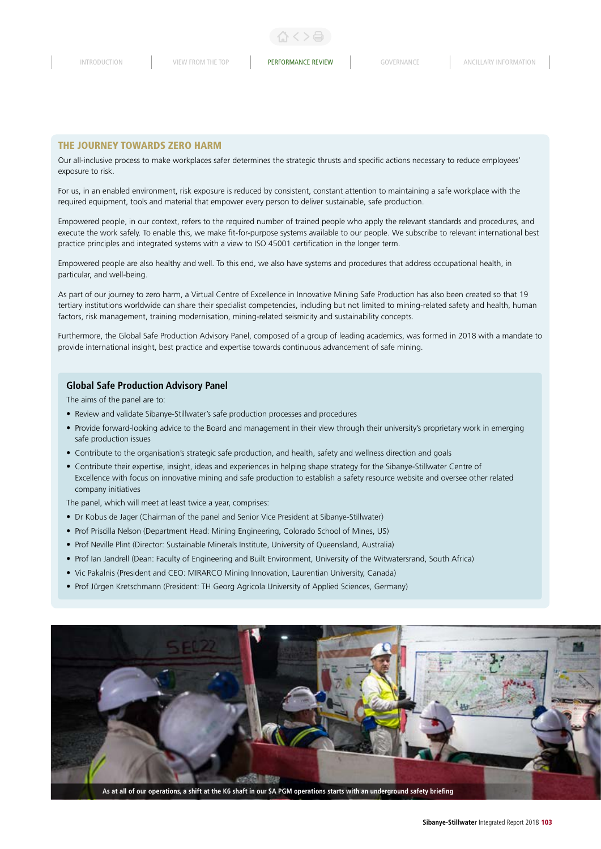#### THE JOURNEY TOWARDS ZERO HARM

Our all-inclusive process to make workplaces safer determines the strategic thrusts and specific actions necessary to reduce employees' exposure to risk.

For us, in an enabled environment, risk exposure is reduced by consistent, constant attention to maintaining a safe workplace with the required equipment, tools and material that empower every person to deliver sustainable, safe production.

Empowered people, in our context, refers to the required number of trained people who apply the relevant standards and procedures, and execute the work safely. To enable this, we make fit-for-purpose systems available to our people. We subscribe to relevant international best practice principles and integrated systems with a view to ISO 45001 certification in the longer term.

Empowered people are also healthy and well. To this end, we also have systems and procedures that address occupational health, in particular, and well-being.

As part of our journey to zero harm, a Virtual Centre of Excellence in Innovative Mining Safe Production has also been created so that 19 tertiary institutions worldwide can share their specialist competencies, including but not limited to mining-related safety and health, human factors, risk management, training modernisation, mining-related seismicity and sustainability concepts.

Furthermore, the Global Safe Production Advisory Panel, composed of a group of leading academics, was formed in 2018 with a mandate to provide international insight, best practice and expertise towards continuous advancement of safe mining.

#### **Global Safe Production Advisory Panel**

The aims of the panel are to:

- Review and validate Sibanye-Stillwater's safe production processes and procedures
- Provide forward-looking advice to the Board and management in their view through their university's proprietary work in emerging safe production issues
- Contribute to the organisation's strategic safe production, and health, safety and wellness direction and goals
- Contribute their expertise, insight, ideas and experiences in helping shape strategy for the Sibanye-Stillwater Centre of Excellence with focus on innovative mining and safe production to establish a safety resource website and oversee other related company initiatives

The panel, which will meet at least twice a year, comprises:

- Dr Kobus de Jager (Chairman of the panel and Senior Vice President at Sibanye-Stillwater)
- Prof Priscilla Nelson (Department Head: Mining Engineering, Colorado School of Mines, US)
- Prof Neville Plint (Director: Sustainable Minerals Institute, University of Queensland, Australia)
- Prof Ian Jandrell (Dean: Faculty of Engineering and Built Environment, University of the Witwatersrand, South Africa)
- Vic Pakalnis (President and CEO: MIRARCO Mining Innovation, Laurentian University, Canada)
- Prof Jürgen Kretschmann (President: TH Georg Agricola University of Applied Sciences, Germany)

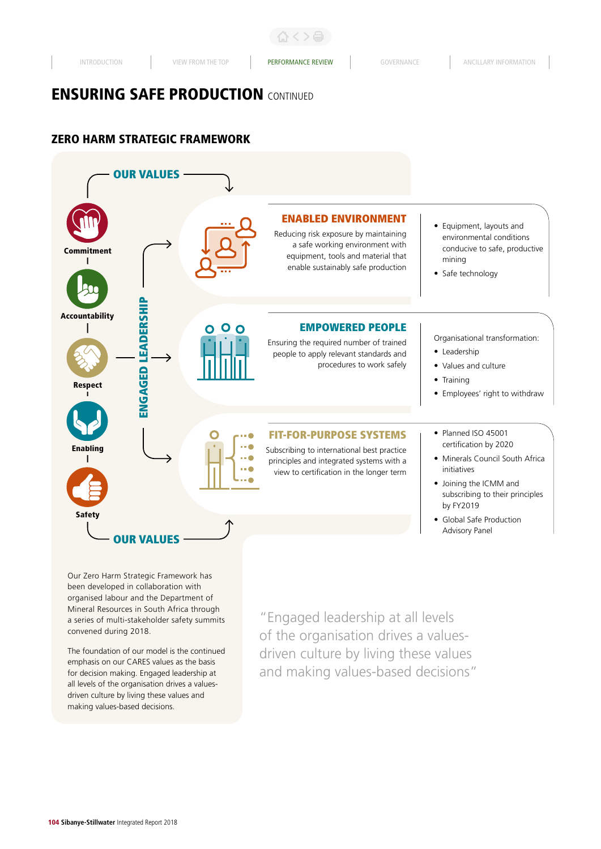# ZERO HARM STRATEGIC FRAMEWORK



Our Zero Harm Strategic Framework has been developed in collaboration with organised labour and the Department of Mineral Resources in South Africa through a series of multi-stakeholder safety summits convened during 2018.

The foundation of our model is the continued emphasis on our CARES values as the basis for decision making. Engaged leadership at all levels of the organisation drives a valuesdriven culture by living these values and making values-based decisions.

"Engaged leadership at all levels of the organisation drives a valuesdriven culture by living these values and making values-based decisions"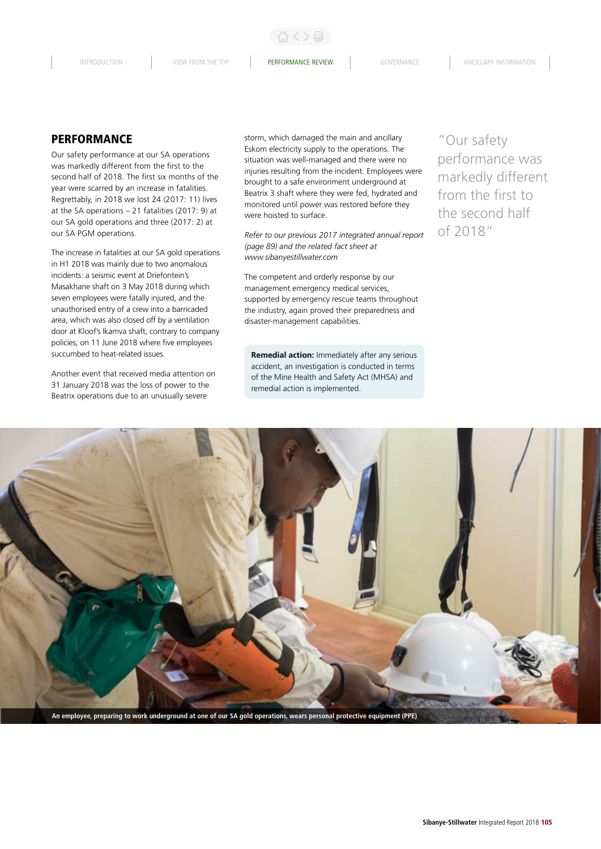INTRODUCTION VIEW FROM THE TOP **PERFORMANCE REVIEW** GOVERNANCE ANCILLARY INFORMATION

ひくと目

# PERFORMANCE

Our safety performance at our SA operations was markedly different from the first to the second half of 2018. The first six months of the year were scarred by an increase in fatalities. Regrettably, in 2018 we lost 24 (2017: 11) lives at the SA operations – 21 fatalities (2017: 9) at our SA gold operations and three (2017: 2) at our SA PGM operations.

The increase in fatalities at our SA gold operations in H1 2018 was mainly due to two anomalous incidents: a seismic event at Driefontein's Masakhane shaft on 3 May 2018 during which seven employees were fatally injured, and the unauthorised entry of a crew into a barricaded area, which was also closed off by a ventilation door at Kloof's Ikamva shaft, contrary to company policies, on 11 June 2018 where five employees succumbed to heat-related issues.

Another event that received media attention on 31 January 2018 was the loss of power to the Beatrix operations due to an unusually severe

storm, which damaged the main and ancillary Eskom electricity supply to the operations. The situation was well-managed and there were no injuries resulting from the incident. Employees were brought to a safe environment underground at Beatrix 3 shaft where they were fed, hydrated and monitored until power was restored before they were hoisted to surface.

*Refer to our previous 2017 integrated annual report (page 89) and the related fact sheet at www.sibanyestillwater.com* 

The competent and orderly response by our management emergency medical services, supported by emergency rescue teams throughout the industry, again proved their preparedness and disaster-management capabilities.

**Remedial action:** Immediately after any serious accident, an investigation is conducted in terms of the Mine Health and Safety Act (MHSA) and remedial action is implemented.

"Our safety performance was markedly different from the first to the second half of 2018"

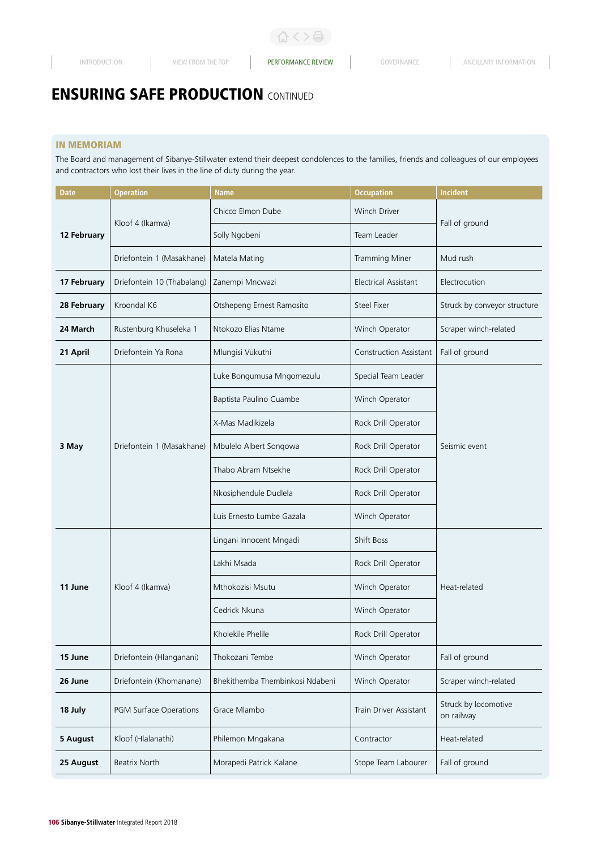## IN MEMORIAM

The Board and management of Sibanye-Stillwater extend their deepest condolences to the families, friends and colleagues of our employees and contractors who lost their lives in the line of duty during the year.

| <b>Date</b> | <b>Operation</b>           | <b>Name</b>                     | <b>Occupation</b>             | Incident                           |  |
|-------------|----------------------------|---------------------------------|-------------------------------|------------------------------------|--|
|             | Kloof 4 (Ikamva)           | Chicco Elmon Dube               | Winch Driver                  | Fall of ground                     |  |
| 12 February |                            | Solly Ngobeni                   | Team Leader                   |                                    |  |
|             | Driefontein 1 (Masakhane)  | Matela Mating                   | Tramming Miner                | Mud rush                           |  |
| 17 February | Driefontein 10 (Thabalang) | Zanempi Mncwazi                 | <b>Electrical Assistant</b>   | Electrocution                      |  |
| 28 February | Kroondal K6                | Otshepeng Ernest Ramosito       | <b>Steel Fixer</b>            | Struck by conveyor structure       |  |
| 24 March    | Rustenburg Khuseleka 1     | Ntokozo Elias Ntame             | Winch Operator                | Scraper winch-related              |  |
| 21 April    | Driefontein Ya Rona        | Mlungisi Vukuthi                | <b>Construction Assistant</b> | Fall of ground                     |  |
|             |                            | Luke Bongumusa Mngomezulu       | Special Team Leader           |                                    |  |
|             |                            | Baptista Paulino Cuambe         | Winch Operator                |                                    |  |
|             | Driefontein 1 (Masakhane)  | X-Mas Madikizela                | Rock Drill Operator           |                                    |  |
| 3 May       |                            | Mbulelo Albert Songowa          | Rock Drill Operator           | Seismic event                      |  |
|             |                            | Thabo Abram Ntsekhe             | Rock Drill Operator           |                                    |  |
|             |                            | Nkosiphendule Dudlela           | Rock Drill Operator           |                                    |  |
|             |                            | Luis Ernesto Lumbe Gazala       | Winch Operator                |                                    |  |
|             |                            | Lingani Innocent Mngadi         | Shift Boss                    |                                    |  |
|             | Kloof 4 (Ikamva)           | Lakhi Msada                     | Rock Drill Operator           |                                    |  |
| 11 June     |                            | Mthokozisi Msutu                | Winch Operator                | Heat-related                       |  |
|             |                            | Cedrick Nkuna                   | Winch Operator                |                                    |  |
|             |                            | Kholekile Phelile               | Rock Drill Operator           |                                    |  |
| 15 June     | Driefontein (Hlanganani)   | Thokozani Tembe                 | Winch Operator                | Fall of ground                     |  |
| 26 June     | Driefontein (Khomanane)    | Bhekithemba Thembinkosi Ndabeni | Winch Operator                | Scraper winch-related              |  |
| 18 July     | PGM Surface Operations     | Grace Mlambo                    | Train Driver Assistant        | Struck by locomotive<br>on railway |  |
| 5 August    | Kloof (Hlalanathi)         | Philemon Mngakana               | Contractor                    | Heat-related                       |  |
| 25 August   | <b>Beatrix North</b>       | Morapedi Patrick Kalane         | Stope Team Labourer           | Fall of ground                     |  |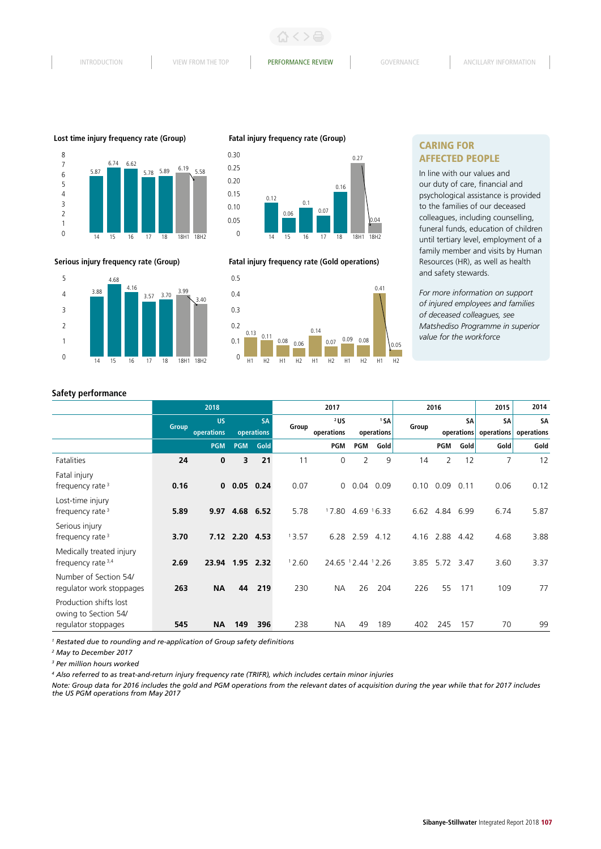3.99 3.40

3.88 3.70

14 15 16 17 18 18H1 18H2

4.68

 **Serious injury frequency rate (Group)**

4.16 3.57







**Fatal injury frequency rate (Gold operations)**



# CARING FOR AFFECTED PEOPLE

In line with our values and our duty of care, financial and psychological assistance is provided to the families of our deceased colleagues, including counselling, funeral funds, education of children until tertiary level, employment of a family member and visits by Human Resources (HR), as well as health and safety stewards.

*For more information on support of injured employees and families of deceased colleagues, see Matshediso Programme in superior value for the workforce*

#### **Safety performance**

| 2018         |             | 2017       |           | 2016                                                                  |            | 2015                | 2014          |                                                                   |            |           |                   |                                  |
|--------------|-------------|------------|-----------|-----------------------------------------------------------------------|------------|---------------------|---------------|-------------------------------------------------------------------|------------|-----------|-------------------|----------------------------------|
| <b>Group</b> | <b>US</b>   |            | <b>SA</b> |                                                                       | $2$ US     |                     | 15A           | Group                                                             |            | <b>SA</b> | <b>SA</b>         | <b>SA</b>                        |
|              |             |            |           |                                                                       |            |                     |               |                                                                   |            |           |                   | operations                       |
|              | <b>PGM</b>  | <b>PGM</b> | Gold      |                                                                       | <b>PGM</b> | PGM                 | Gold          |                                                                   | <b>PGM</b> | Gold      |                   | Gold                             |
| 24           | $\bf{0}$    | 3          | 21        | 11                                                                    | 0          | 2                   | 9             | 14                                                                | 2          | 12        | 7                 | 12                               |
| 0.16         | $\mathbf 0$ |            |           | 0.07                                                                  | 0          |                     | 0.09          | 0.10                                                              | 0.09       | 0.11      | 0.06              | 0.12                             |
| 5.89         | 9.97        |            |           | 5.78                                                                  |            |                     |               |                                                                   |            |           | 6.74              | 5.87                             |
| 3.70         |             |            |           | 13.57                                                                 |            |                     | 4.12          | 4.16                                                              | 2.88       | 4.42      | 4.68              | 3.88                             |
| 2.69         | 23.94       |            |           | 12.60                                                                 |            |                     |               | 3.85                                                              | 5.72       |           | 3.60              | 3.37                             |
| 263          | <b>NA</b>   | 44         | 219       | 230                                                                   | <b>NA</b>  | 26                  | 204           | 226                                                               | 55         | 171       | 109               | 77                               |
| 545          | <b>NA</b>   | 149        | 396       | 238                                                                   | <b>NA</b>  | 49                  | 189           | 402                                                               | 245        | 157       | 70                | 99                               |
|              |             | operations |           | operations<br>$0.05$ 0.24<br>4.68 6.52<br>7.12 2.20 4.53<br>1.95 2.32 |            | Group<br>operations | 17.80<br>6.28 | operations<br>0.04<br>$4.69$ $16.33$<br>2.59<br>24.65 12.44 12.26 |            | 6.62      | 4.84 6.99<br>3.47 | operations<br>operations<br>Gold |

<sup>1</sup> Restated due to rounding and re-application of Group safety definitions

*2 May to December 2017*

*3 Per million hours worked*

*<sup>4</sup> Also referred to as treat-and-return injury frequency rate (TRIFR), which includes certain minor injuries*

*Note: Group data for 2016 includes the gold and PGM operations from the relevant dates of acquisition during the year while that for 2017 includes the US PGM operations from May 2017*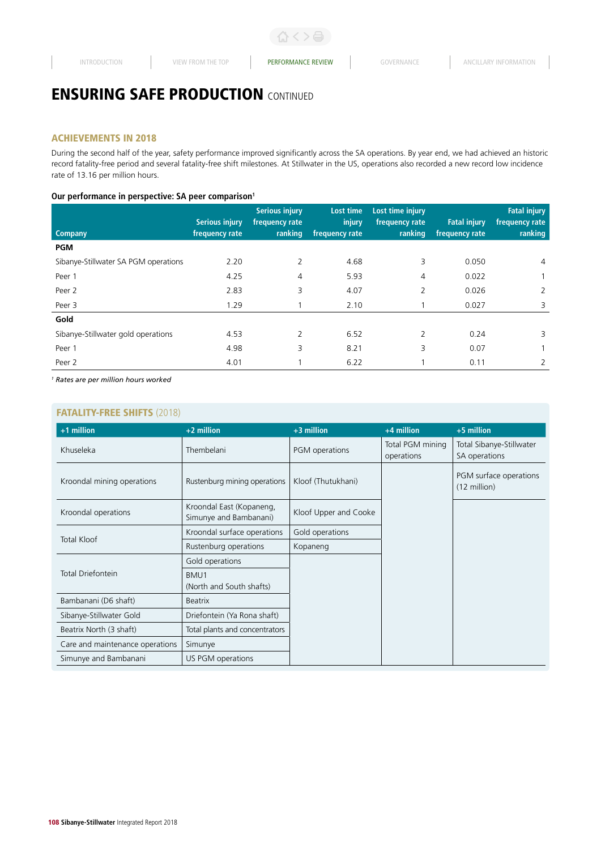## ACHIEVEMENTS IN 2018

During the second half of the year, safety performance improved significantly across the SA operations. By year end, we had achieved an historic record fatality-free period and several fatality-free shift milestones. At Stillwater in the US, operations also recorded a new record low incidence rate of 13.16 per million hours.

## **Our performance in perspective: SA peer comparison1**

|                                      | <b>Serious injury</b> | <b>Serious injury</b><br>frequency rate | Lost time<br>injury | Lost time injury<br>frequency rate | <b>Fatal injury</b> | <b>Fatal injury</b><br>frequency rate |
|--------------------------------------|-----------------------|-----------------------------------------|---------------------|------------------------------------|---------------------|---------------------------------------|
| <b>Company</b>                       | frequency rate        | ranking                                 | frequency rate      | ranking                            | frequency rate      | ranking                               |
| <b>PGM</b>                           |                       |                                         |                     |                                    |                     |                                       |
| Sibanye-Stillwater SA PGM operations | 2.20                  | 2                                       | 4.68                | 3                                  | 0.050               | 4                                     |
| Peer 1                               | 4.25                  | 4                                       | 5.93                | 4                                  | 0.022               |                                       |
| Peer 2                               | 2.83                  | 3                                       | 4.07                | 2                                  | 0.026               | 2                                     |
| Peer 3                               | 1.29                  |                                         | 2.10                |                                    | 0.027               | 3                                     |
| Gold                                 |                       |                                         |                     |                                    |                     |                                       |
| Sibanye-Stillwater gold operations   | 4.53                  | $\overline{2}$                          | 6.52                | 2                                  | 0.24                | 3                                     |
| Peer 1                               | 4.98                  | 3                                       | 8.21                | 3                                  | 0.07                |                                       |
| Peer 2                               | 4.01                  |                                         | 6.22                |                                    | 0.11                | 2                                     |

*1 Rates are per million hours worked*

## FATALITY-FREE SHIFTS (2018)

| +1 million                      | $+2$ million                                       | $+3$ million          | $+4$ million                   | +5 million                                       |
|---------------------------------|----------------------------------------------------|-----------------------|--------------------------------|--------------------------------------------------|
| Khuseleka                       | Thembelani                                         | PGM operations        | Total PGM mining<br>operations | Total Sibanye-Stillwater<br>SA operations        |
| Kroondal mining operations      | Rustenburg mining operations                       | Kloof (Thutukhani)    |                                | PGM surface operations<br>$(12 \text{ million})$ |
| Kroondal operations             | Kroondal East (Kopaneng,<br>Simunye and Bambanani) | Kloof Upper and Cooke |                                |                                                  |
| <b>Total Kloof</b>              | Kroondal surface operations                        | Gold operations       |                                |                                                  |
|                                 | Rustenburg operations                              | Kopaneng              |                                |                                                  |
|                                 | Gold operations                                    |                       |                                |                                                  |
| Total Driefontein               | BMU1<br>(North and South shafts)                   |                       |                                |                                                  |
| Bambanani (D6 shaft)            | <b>Beatrix</b>                                     |                       |                                |                                                  |
| Sibanye-Stillwater Gold         | Driefontein (Ya Rona shaft)                        |                       |                                |                                                  |
| Beatrix North (3 shaft)         | Total plants and concentrators                     |                       |                                |                                                  |
| Care and maintenance operations | Simunye                                            |                       |                                |                                                  |
| Simunye and Bambanani           | US PGM operations                                  |                       |                                |                                                  |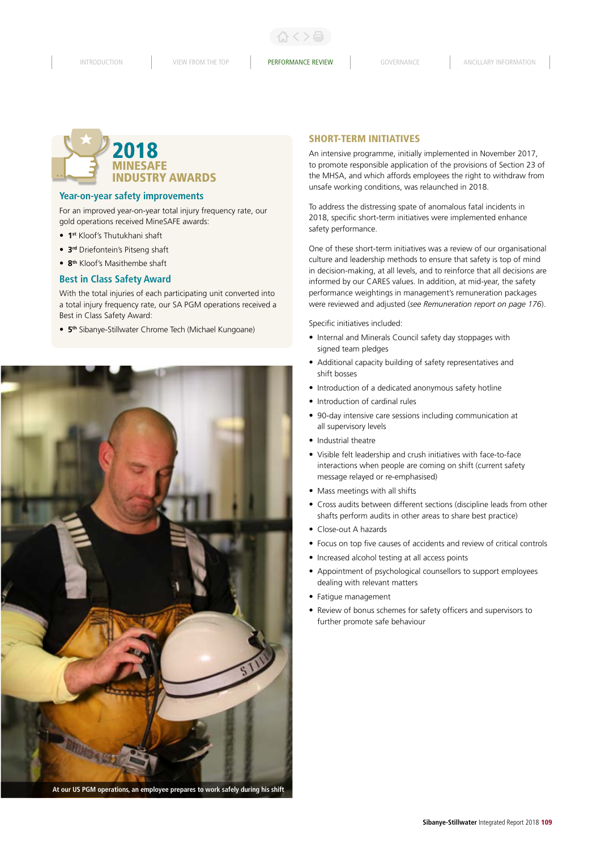INTRODUCTION VIEW FROM THE TOP **PERFORMANCE REVIEW** GOVERNANCE ANCILLARY INFORMATION

# MINESAFE INDUSTRY AWARDS 2018

## **Year-on-year safety improvements**

For an improved year-on-year total injury frequency rate, our gold operations received MineSAFE awards:

- **1st** Kloof's Thutukhani shaft
- **3rd** Driefontein's Pitseng shaft
- **8th** Kloof's Masithembe shaft

#### **Best in Class Safety Award**

With the total injuries of each participating unit converted into a total injury frequency rate, our SA PGM operations received a Best in Class Safety Award:

• **5th** Sibanye-Stillwater Chrome Tech (Michael Kungoane)



**At our US PGM operations, an employee prepares to work safely during his shift**

#### SHORT-TERM INITIATIVES

An intensive programme, initially implemented in November 2017, to promote responsible application of the provisions of Section 23 of the MHSA, and which affords employees the right to withdraw from unsafe working conditions, was relaunched in 2018.

To address the distressing spate of anomalous fatal incidents in 2018, specific short-term initiatives were implemented enhance safety performance.

One of these short-term initiatives was a review of our organisational culture and leadership methods to ensure that safety is top of mind in decision-making, at all levels, and to reinforce that all decisions are informed by our CARES values. In addition, at mid-year, the safety performance weightings in management's remuneration packages were reviewed and adjusted (*see Remuneration report on page 176*).

Specific initiatives included:

- Internal and Minerals Council safety day stoppages with signed team pledges
- Additional capacity building of safety representatives and shift bosses
- Introduction of a dedicated anonymous safety hotline
- Introduction of cardinal rules
- 90-day intensive care sessions including communication at all supervisory levels
- Industrial theatre
- Visible felt leadership and crush initiatives with face-to-face interactions when people are coming on shift (current safety message relayed or re-emphasised)
- Mass meetings with all shifts
- Cross audits between different sections (discipline leads from other shafts perform audits in other areas to share best practice)
- Close-out A hazards
- Focus on top five causes of accidents and review of critical controls
- Increased alcohol testing at all access points
- Appointment of psychological counsellors to support employees dealing with relevant matters
- Fatigue management
- Review of bonus schemes for safety officers and supervisors to further promote safe behaviour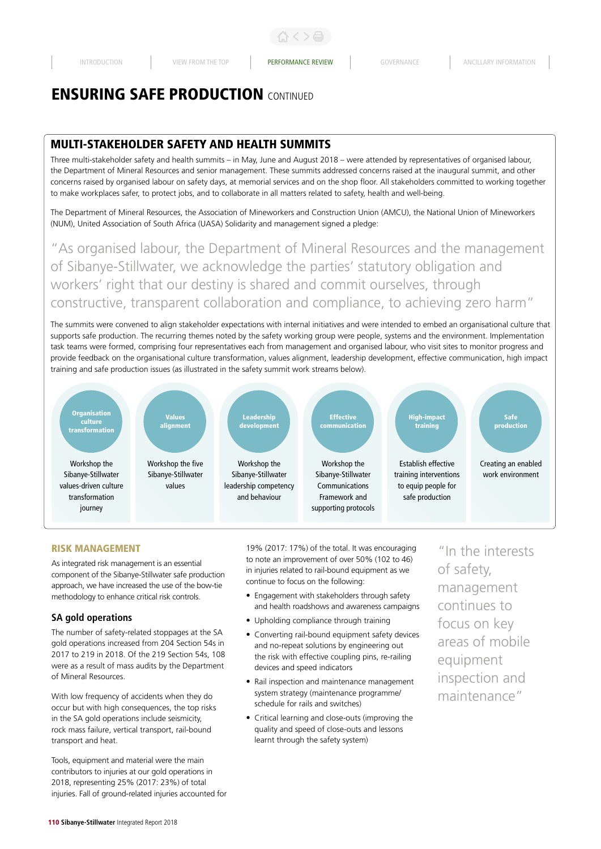# MULTI-STAKEHOLDER SAFETY AND HEALTH SUMMITS

Three multi-stakeholder safety and health summits – in May, June and August 2018 – were attended by representatives of organised labour, the Department of Mineral Resources and senior management. These summits addressed concerns raised at the inaugural summit, and other concerns raised by organised labour on safety days, at memorial services and on the shop floor. All stakeholders committed to working together to make workplaces safer, to protect jobs, and to collaborate in all matters related to safety, health and well-being.

The Department of Mineral Resources, the Association of Mineworkers and Construction Union (AMCU), the National Union of Mineworkers (NUM), United Association of South Africa (UASA) Solidarity and management signed a pledge:

"As organised labour, the Department of Mineral Resources and the management of Sibanye-Stillwater, we acknowledge the parties' statutory obligation and workers' right that our destiny is shared and commit ourselves, through constructive, transparent collaboration and compliance, to achieving zero harm"

The summits were convened to align stakeholder expectations with internal initiatives and were intended to embed an organisational culture that supports safe production. The recurring themes noted by the safety working group were people, systems and the environment. Implementation task teams were formed, comprising four representatives each from management and organised labour, who visit sites to monitor progress and provide feedback on the organisational culture transformation, values alignment, leadership development, effective communication, high impact training and safe production issues (as illustrated in the safety summit work streams below).



### RISK MANAGEMENT

As integrated risk management is an essential component of the Sibanye-Stillwater safe production approach, we have increased the use of the bow-tie methodology to enhance critical risk controls.

#### **SA gold operations**

The number of safety-related stoppages at the SA gold operations increased from 204 Section 54s in 2017 to 219 in 2018. Of the 219 Section 54s, 108 were as a result of mass audits by the Department of Mineral Resources.

With low frequency of accidents when they do occur but with high consequences, the top risks in the SA gold operations include seismicity, rock mass failure, vertical transport, rail-bound transport and heat.

Tools, equipment and material were the main contributors to injuries at our gold operations in 2018, representing 25% (2017: 23%) of total injuries. Fall of ground-related injuries accounted for 19% (2017: 17%) of the total. It was encouraging to note an improvement of over 50% (102 to 46) in injuries related to rail-bound equipment as we continue to focus on the following:

- Engagement with stakeholders through safety and health roadshows and awareness campaigns
- Upholding compliance through training
- Converting rail-bound equipment safety devices and no-repeat solutions by engineering out the risk with effective coupling pins, re-railing devices and speed indicators
- Rail inspection and maintenance management system strategy (maintenance programme/ schedule for rails and switches)
- Critical learning and close-outs (improving the quality and speed of close-outs and lessons learnt through the safety system)

"In the interests of safety, management continues to focus on key areas of mobile equipment inspection and maintenance"